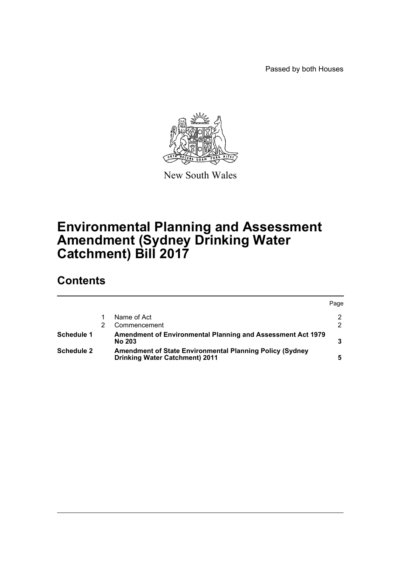Passed by both Houses



New South Wales

# **Environmental Planning and Assessment Amendment (Sydney Drinking Water Catchment) Bill 2017**

## **Contents**

|                   |                                                                                                          | Page |
|-------------------|----------------------------------------------------------------------------------------------------------|------|
|                   | Name of Act                                                                                              | າ    |
|                   | Commencement                                                                                             |      |
| Schedule 1        | Amendment of Environmental Planning and Assessment Act 1979<br><b>No 203</b>                             |      |
| <b>Schedule 2</b> | <b>Amendment of State Environmental Planning Policy (Sydney</b><br><b>Drinking Water Catchment) 2011</b> |      |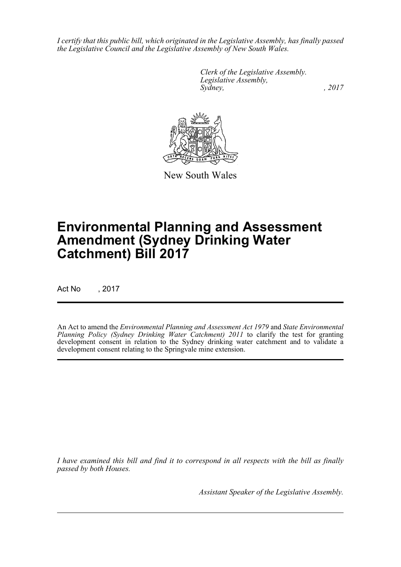*I certify that this public bill, which originated in the Legislative Assembly, has finally passed the Legislative Council and the Legislative Assembly of New South Wales.*

> *Clerk of the Legislative Assembly. Legislative Assembly, Sydney, , 2017*



New South Wales

# **Environmental Planning and Assessment Amendment (Sydney Drinking Water Catchment) Bill 2017**

Act No , 2017

An Act to amend the *Environmental Planning and Assessment Act 1979* and *State Environmental Planning Policy (Sydney Drinking Water Catchment) 2011* to clarify the test for granting development consent in relation to the Sydney drinking water catchment and to validate a development consent relating to the Springvale mine extension.

*I have examined this bill and find it to correspond in all respects with the bill as finally passed by both Houses.*

*Assistant Speaker of the Legislative Assembly.*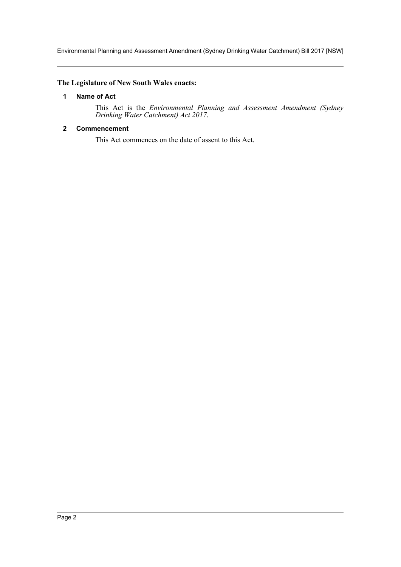Environmental Planning and Assessment Amendment (Sydney Drinking Water Catchment) Bill 2017 [NSW]

### <span id="page-2-0"></span>**The Legislature of New South Wales enacts:**

#### **1 Name of Act**

This Act is the *Environmental Planning and Assessment Amendment (Sydney Drinking Water Catchment) Act 2017*.

#### <span id="page-2-1"></span>**2 Commencement**

This Act commences on the date of assent to this Act.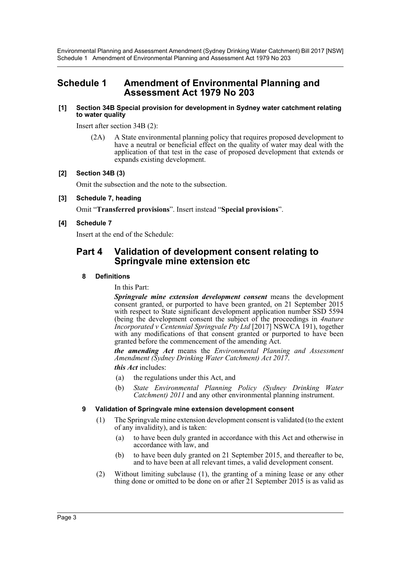Environmental Planning and Assessment Amendment (Sydney Drinking Water Catchment) Bill 2017 [NSW] Schedule 1 Amendment of Environmental Planning and Assessment Act 1979 No 203

## <span id="page-3-0"></span>**Schedule 1 Amendment of Environmental Planning and Assessment Act 1979 No 203**

#### **[1] Section 34B Special provision for development in Sydney water catchment relating to water quality**

Insert after section 34B (2):

(2A) A State environmental planning policy that requires proposed development to have a neutral or beneficial effect on the quality of water may deal with the application of that test in the case of proposed development that extends or expands existing development.

#### **[2] Section 34B (3)**

Omit the subsection and the note to the subsection.

#### **[3] Schedule 7, heading**

Omit "**Transferred provisions**". Insert instead "**Special provisions**".

#### **[4] Schedule 7**

Insert at the end of the Schedule:

### **Part 4 Validation of development consent relating to Springvale mine extension etc**

#### **8 Definitions**

In this Part:

*Springvale mine extension development consent* means the development consent granted, or purported to have been granted, on 21 September 2015 with respect to State significant development application number SSD 5594 (being the development consent the subject of the proceedings in *4nature Incorporated v Centennial Springvale Pty Ltd* [2017] NSWCA 191), together with any modifications of that consent granted or purported to have been granted before the commencement of the amending Act.

*the amending Act* means the *Environmental Planning and Assessment Amendment (Sydney Drinking Water Catchment) Act 2017*.

*this Act* includes:

- (a) the regulations under this Act, and
- (b) *State Environmental Planning Policy (Sydney Drinking Water Catchment) 2011* and any other environmental planning instrument.

#### **9 Validation of Springvale mine extension development consent**

- (1) The Springvale mine extension development consent is validated (to the extent of any invalidity), and is taken:
	- (a) to have been duly granted in accordance with this Act and otherwise in accordance with law, and
	- (b) to have been duly granted on 21 September 2015, and thereafter to be, and to have been at all relevant times, a valid development consent.
- (2) Without limiting subclause (1), the granting of a mining lease or any other thing done or omitted to be done on or after 21 September 2015 is as valid as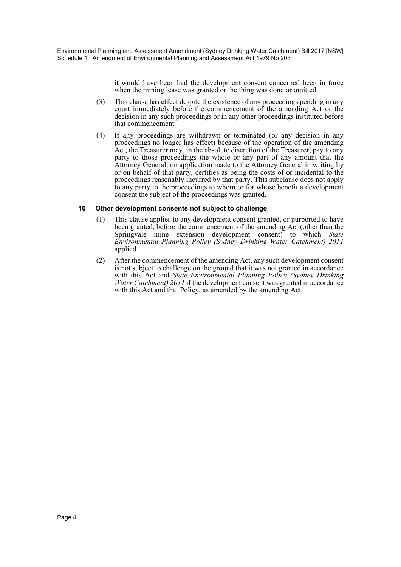it would have been had the development consent concerned been in force when the mining lease was granted or the thing was done or omitted.

- (3) This clause has effect despite the existence of any proceedings pending in any court immediately before the commencement of the amending Act or the decision in any such proceedings or in any other proceedings instituted before that commencement.
- (4) If any proceedings are withdrawn or terminated (or any decision in any proceedings no longer has effect) because of the operation of the amending Act, the Treasurer may, in the absolute discretion of the Treasurer, pay to any party to those proceedings the whole or any part of any amount that the Attorney General, on application made to the Attorney General in writing by or on behalf of that party, certifies as being the costs of or incidental to the proceedings reasonably incurred by that party. This subclause does not apply to any party to the proceedings to whom or for whose benefit a development consent the subject of the proceedings was granted.

#### **10 Other development consents not subject to challenge**

- (1) This clause applies to any development consent granted, or purported to have been granted, before the commencement of the amending Act (other than the Springvale mine extension development consent) to which *State Environmental Planning Policy (Sydney Drinking Water Catchment) 2011* applied.
- (2) After the commencement of the amending Act, any such development consent is not subject to challenge on the ground that it was not granted in accordance with this Act and *State Environmental Planning Policy (Sydney Drinking Water Catchment) 2011* if the development consent was granted in accordance with this Act and that Policy, as amended by the amending Act.